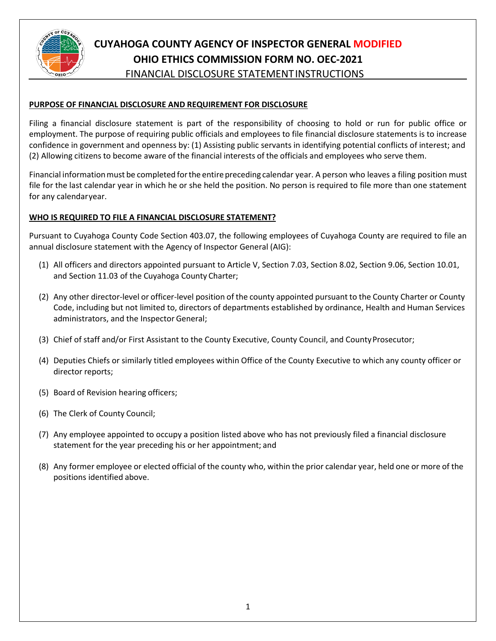

## **PURPOSE OF FINANCIAL DISCLOSURE AND REQUIREMENT FOR DISCLOSURE**

Filing a financial disclosure statement is part of the responsibility of choosing to hold or run for public office or employment. The purpose of requiring public officials and employees to file financial disclosure statements is to increase confidence in government and openness by: (1) Assisting public servants in identifying potential conflicts of interest; and (2) Allowing citizens to become aware of the financial interests of the officials and employees who serve them.

Financial information must be completed for the entire preceding calendar year. A person who leaves a filing position must file for the last calendar year in which he or she held the position. No person is required to file more than one statement for any calendaryear.

## **WHO IS REQUIRED TO FILE A FINANCIAL DISCLOSURE STATEMENT?**

Pursuant to Cuyahoga County Code Section 403.07, the following employees of Cuyahoga County are required to file an annual disclosure statement with the Agency of Inspector General (AIG):

- (1) All officers and directors appointed pursuant to Article V, Section 7.03, Section 8.02, Section 9.06, Section 10.01, and Section 11.03 of the Cuyahoga County Charter;
- (2) Any other director-level or officer-level position of the county appointed pursuant to the County Charter or County Code, including but not limited to, directors of departments established by ordinance, Health and Human Services administrators, and the Inspector General;
- (3) Chief of staff and/or First Assistant to the County Executive, County Council, and County Prosecutor;
- (4) Deputies Chiefs or similarly titled employees within Office of the County Executive to which any county officer or director reports;
- (5) Board of Revision hearing officers;
- (6) The Clerk of County Council;
- (7) Any employee appointed to occupy a position listed above who has not previously filed a financial disclosure statement for the year preceding his or her appointment; and
- (8) Any former employee or elected official of the county who, within the prior calendar year, held one or more of the positions identified above.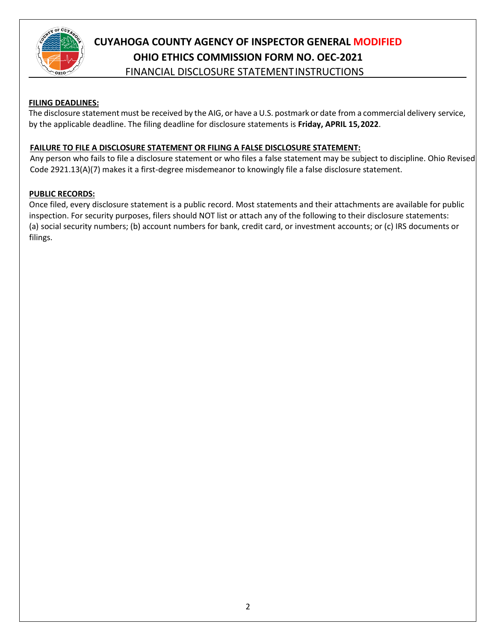

## **FILING DEADLINES:**

The disclosure statement must be received by the AIG, or have a U.S. postmark or date from a commercial delivery service, by the applicable deadline. The filing deadline for disclosure statements is **Friday, APRIL 15,2022**.

## **FAILURE TO FILE A DISCLOSURE STATEMENT OR FILING A FALSE DISCLOSURE STATEMENT:**

Any person who fails to file a disclosure statement or who files a false statement may be subject to discipline. Ohio Revised Code 2921.13(A)(7) makes it a first-degree misdemeanor to knowingly file a false disclosure statement.

## **PUBLIC RECORDS:**

Once filed, every disclosure statement is a public record. Most statements and their attachments are available for public inspection. For security purposes, filers should NOT list or attach any of the following to their disclosure statements: (a) social security numbers; (b) account numbers for bank, credit card, or investment accounts; or (c) IRS documents or filings.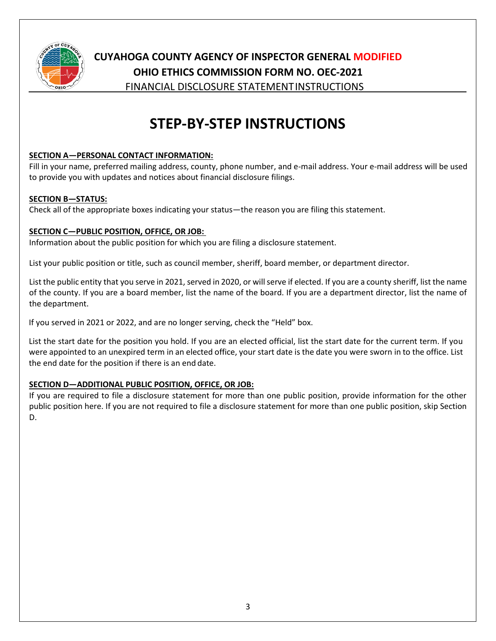

# **CUYAHOGA COUNTY AGENCY OF INSPECTOR GENERAL MODIFIED OHIO ETHICS COMMISSION FORM NO. OEC-2021**

FINANCIAL DISCLOSURE STATEMENTINSTRUCTIONS

# **STEP-BY-STEP INSTRUCTIONS**

## **SECTION A—PERSONAL CONTACT INFORMATION:**

Fill in your name, preferred mailing address, county, phone number, and e-mail address. Your e-mail address will be used to provide you with updates and notices about financial disclosure filings.

## **SECTION B—STATUS:**

Check all of the appropriate boxes indicating your status—the reason you are filing this statement.

## **SECTION C—PUBLIC POSITION, OFFICE, OR JOB:**

Information about the public position for which you are filing a disclosure statement.

List your public position or title, such as council member, sheriff, board member, or department director.

List the public entity that you serve in 2021, served in 2020, or willserve if elected. If you are a county sheriff, list the name of the county. If you are a board member, list the name of the board. If you are a department director, list the name of the department.

If you served in 2021 or 2022, and are no longer serving, check the "Held" box.

List the start date for the position you hold. If you are an elected official, list the start date for the current term. If you were appointed to an unexpired term in an elected office, your start date is the date you were sworn in to the office. List the end date for the position if there is an end date.

## **SECTION D—ADDITIONAL PUBLIC POSITION, OFFICE, OR JOB:**

If you are required to file a disclosure statement for more than one public position, provide information for the other public position here. If you are not required to file a disclosure statement for more than one public position, skip Section D.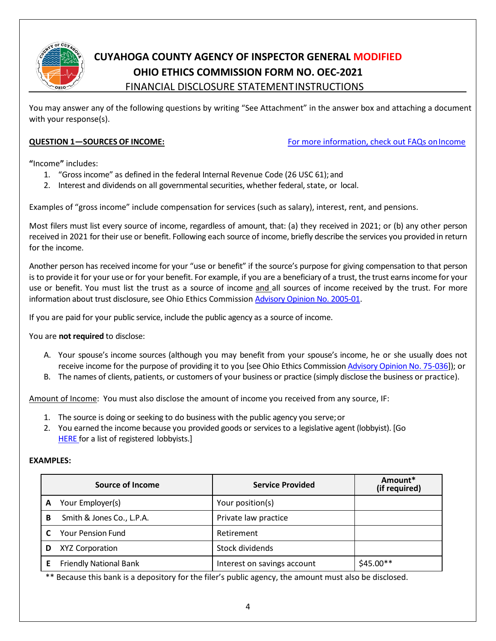

You may answer any of the following questions by writing "See Attachment" in the answer box and attaching a document with your response(s).

**QUESTION 1—SOURCES OF INCOME:** [For more information, check out FAQs onIncome](http://ethics.ohio.gov/fds/faq/income.html)

**"**Income**"** includes:

- 1. "Gross income" as defined in the federal Internal Revenue Code (26 USC 61); and
- 2. Interest and dividends on all governmental securities, whether federal, state, or local.

Examples of "gross income" include compensation for services (such as salary), interest, rent, and pensions.

Most filers must list every source of income, regardless of amount, that: (a) they received in 2021; or (b) any other person received in 2021 for their use or benefit. Following each source of income, briefly describe the services you provided in return for the income.

Another person has received income for your "use or benefit" if the source's purpose for giving compensation to that person is to provide it for your use or for your benefit. For example, if you are a beneficiary of a trust, the trust earns income for your use or benefit. You must list the trust as a source of income and all sources of income received by the trust. For more information about trust disclosure, see Ohio Ethics Commission [Advisory Opinion No. 2005-01.](http://ethics.ohio.gov/advice/opinions/2005-01.pdf)

If you are paid for your public service, include the public agency as a source of income.

You are **not required** to disclose:

- A. Your spouse's income sources (although you may benefit from your spouse's income, he or she usually does not receive income for the purpose of providing it to you [see Ohio Ethics Commissio[n Advisory Opinion No. 75-036\]](http://ethics.ohio.gov/advice/opinions/75-036.pdf)); or
- B. The names of clients, patients, or customers of your business or practice (simply disclose the business or practice).

Amount of Income: You must also disclose the amount of income you received from any source, IF:

- 1. The source is doing or seeking to do business with the public agency you serve;or
- 2. You earned the income because you provided goods or services to a legislative agent (lobbyist). [Go **HERE** for a list of registered lobbyists.]

### **EXAMPLES:**

|   | Source of Income              | <b>Service Provided</b>     | Amount*<br>(if required) |
|---|-------------------------------|-----------------------------|--------------------------|
|   | Your Employer(s)              | Your position(s)            |                          |
| в | Smith & Jones Co., L.P.A.     | Private law practice        |                          |
|   | <b>Your Pension Fund</b>      | Retirement                  |                          |
|   | XYZ Corporation               | Stock dividends             |                          |
|   | <b>Friendly National Bank</b> | Interest on savings account | $$45.00**$               |

\*\* Because this bank is a depository for the filer's public agency, the amount must also be disclosed.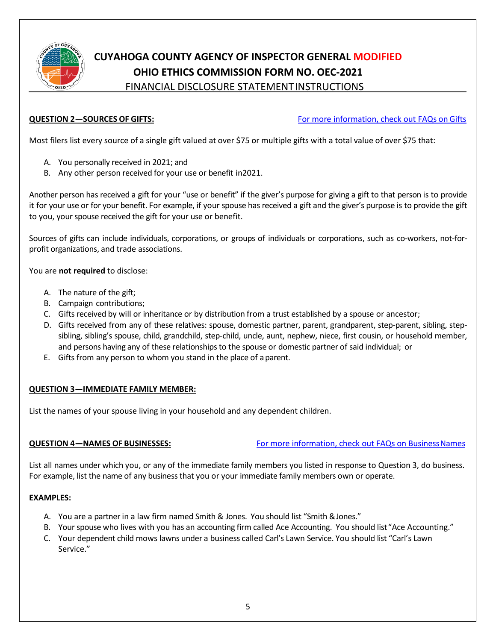

**QUESTION 2—SOURCES OF GIFTS:** [For more information, check out FAQs](http://ethics.ohio.gov/fds/faq/gifts.html) on Gifts

Most filers list every source of a single gift valued at over \$75 or multiple gifts with a total value of over \$75 that:

- A. You personally received in 2021; and
- B. Any other person received for your use or benefit in2021.

Another person has received a gift for your "use or benefit" if the giver's purpose for giving a gift to that person is to provide it for your use or for your benefit. For example, if your spouse has received a gift and the giver's purpose is to provide the gift to you, your spouse received the gift for your use or benefit.

Sources of gifts can include individuals, corporations, or groups of individuals or corporations, such as co-workers, not-forprofit organizations, and trade associations.

You are **not required** to disclose:

- A. The nature of the gift;
- B. Campaign contributions;
- C. Gifts received by will or inheritance or by distribution from a trust established by a spouse or ancestor;
- D. Gifts received from any of these relatives: spouse, domestic partner, parent, grandparent, step-parent, sibling, stepsibling, sibling's spouse, child, grandchild, step-child, uncle, aunt, nephew, niece, first cousin, or household member, and persons having any of these relationships to the spouse or domestic partner of said individual; or
- E. Gifts from any person to whom you stand in the place of aparent.

## **QUESTION 3—IMMEDIATE FAMILY MEMBER:**

List the names of your spouse living in your household and any dependent children.

**QUESTION 4—NAMES OF BUSINESSES:** For more information, check out FAQs on Business Names

List all names under which you, or any of the immediate family members you listed in response to Question 3, do business. For example, list the name of any business that you or your immediate family members own or operate.

## **EXAMPLES:**

- A. You are a partner in a law firm named Smith & Jones. You should list "Smith &Jones."
- B. Your spouse who lives with you has an accounting firm called Ace Accounting. You should list"Ace Accounting."
- C. Your dependent child mows lawns under a business called Carl's Lawn Service. You should list "Carl's Lawn Service."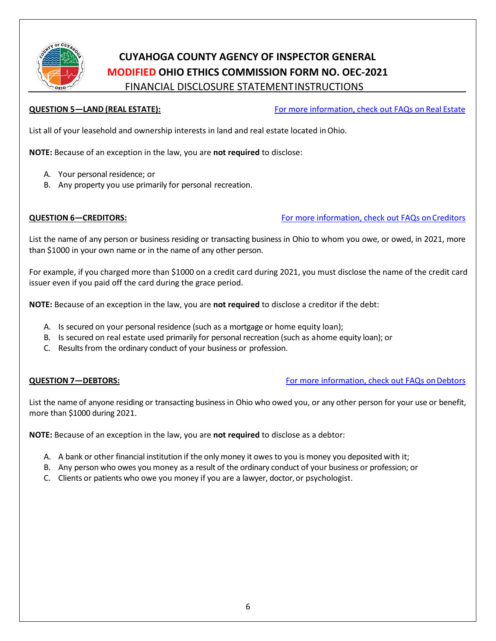

**QUESTION 5—LAND (REAL ESTATE):** [For more information, check out FAQs on](http://ethics.ohio.gov/fds/faq/realestate.html) Real Estate

List all of your leasehold and ownership interests in land and real estate located inOhio.

**NOTE:** Because of an exception in the law, you are **not required** to disclose:

- A. Your personal residence; or
- B. Any property you use primarily for personal recreation.

**QUESTION 6-CREDITORS:** The state of the state of the state of the state of the state of the state of the state of the state of the state of the state of the state of the state of the state of the state of the state of the

List the name of any person or business residing or transacting business in Ohio to whom you owe, or owed, in 2021, more than \$1000 in your own name or in the name of any other person.

For example, if you charged more than \$1000 on a credit card during 2021, you must disclose the name of the credit card issuer even if you paid off the card during the grace period.

**NOTE:** Because of an exception in the law, you are **not required** to disclose a creditor if the debt:

- A. Is secured on your personal residence (such as a mortgage or home equity loan);
- B. Is secured on real estate used primarily for personal recreation (such as ahome equity loan); or
- C. Results from the ordinary conduct of your business or profession.

**QUESTION 7—DEBTORS:** The state of the state of the state of the FAQs on Debtors of the state of the state of the state of the state of the state of the state of the state of the state of the state of the state of the stat

List the name of anyone residing or transacting business in Ohio who owed you, or any other person for your use or benefit, more than \$1000 during 2021.

**NOTE:** Because of an exception in the law, you are **not required** to disclose as a debtor:

- A. A bank or other financial institution if the only money it owes to you is money you deposited with it;
- B. Any person who owes you money as a result of the ordinary conduct of your business or profession; or
- C. Clients or patients who owe you money if you are a lawyer, doctor, or psychologist.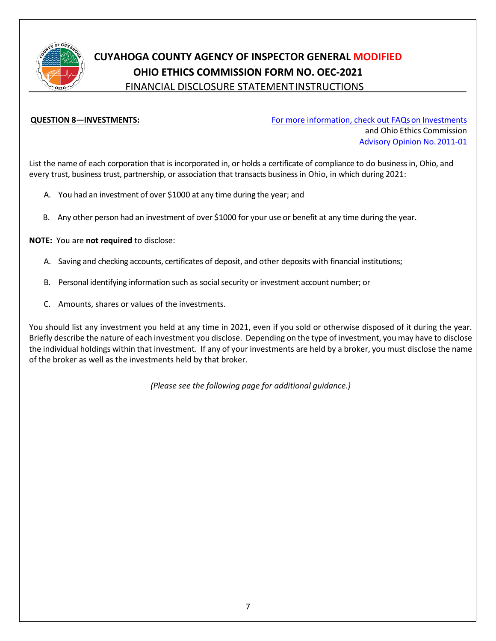

**QUESTION 8-INVESTMENTS:** [For more information, check out FAQs](http://ethics.ohio.gov/fds/faq/investments.html) on Investments and Ohio Ethics Commission [Advisory Opinion No.2011-01](http://ethics.ohio.gov/advice/opinions/2011-01.pdf)

List the name of each corporation that is incorporated in, or holds a certificate of compliance to do business in, Ohio, and every trust, business trust, partnership, or association that transacts business in Ohio, in which during 2021:

- A. You had an investment of over \$1000 at any time during the year; and
- B. Any other person had an investment of over \$1000 for your use or benefit at any time during the year.

**NOTE:** You are **not required** to disclose:

- A. Saving and checking accounts, certificates of deposit, and other deposits with financial institutions;
- B. Personal identifying information such as social security or investment account number; or
- C. Amounts, shares or values of the investments.

You should list any investment you held at any time in 2021, even if you sold or otherwise disposed of it during the year. Briefly describe the nature of each investment you disclose. Depending on the type of investment, you may have to disclose the individual holdings within that investment. If any of your investments are held by a broker, you must disclose the name of the broker as well as the investments held by that broker.

*(Please see the following page for additional guidance.)*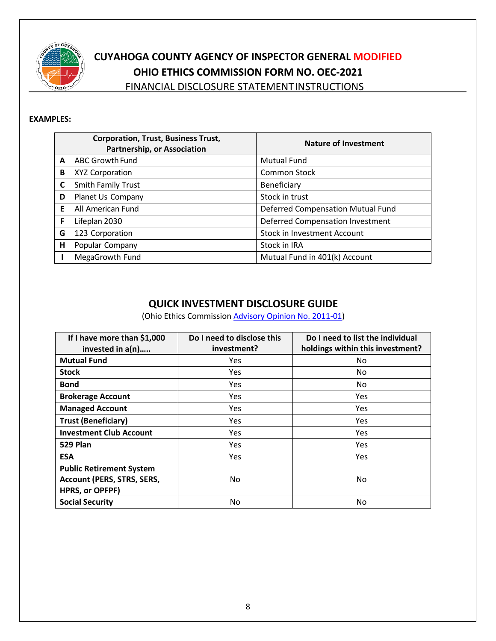

### **EXAMPLES:**

|   | <b>Corporation, Trust, Business Trust,</b><br><b>Partnership, or Association</b> | <b>Nature of Investment</b>             |
|---|----------------------------------------------------------------------------------|-----------------------------------------|
| A | ABC Growth Fund                                                                  | <b>Mutual Fund</b>                      |
| B | <b>XYZ Corporation</b>                                                           | <b>Common Stock</b>                     |
|   | Smith Family Trust                                                               | Beneficiary                             |
| D | Planet Us Company                                                                | Stock in trust                          |
| F | All American Fund                                                                | Deferred Compensation Mutual Fund       |
| F | Lifeplan 2030                                                                    | <b>Deferred Compensation Investment</b> |
| G | 123 Corporation                                                                  | <b>Stock in Investment Account</b>      |
| н | Popular Company                                                                  | Stock in IRA                            |
|   | MegaGrowth Fund                                                                  | Mutual Fund in 401(k) Account           |

## **QUICK INVESTMENT DISCLOSURE GUIDE**

(Ohio Ethics Commission [Advisory Opinion No. 2011-01\)](http://ethics.ohio.gov/advice/opinions/2011-01.pdf)

| If I have more than \$1,000<br>invested in a(n)                                                | Do I need to disclose this<br>investment? | Do I need to list the individual<br>holdings within this investment? |
|------------------------------------------------------------------------------------------------|-------------------------------------------|----------------------------------------------------------------------|
| <b>Mutual Fund</b>                                                                             | Yes                                       | No                                                                   |
| <b>Stock</b>                                                                                   | Yes                                       | No.                                                                  |
| <b>Bond</b>                                                                                    | Yes                                       | No                                                                   |
| <b>Brokerage Account</b>                                                                       | Yes                                       | <b>Yes</b>                                                           |
| <b>Managed Account</b>                                                                         | Yes                                       | Yes                                                                  |
| <b>Trust (Beneficiary)</b>                                                                     | Yes                                       | Yes                                                                  |
| <b>Investment Club Account</b>                                                                 | Yes                                       | Yes                                                                  |
| 529 Plan                                                                                       | Yes                                       | Yes                                                                  |
| <b>ESA</b>                                                                                     | Yes                                       | Yes                                                                  |
| <b>Public Retirement System</b><br><b>Account (PERS, STRS, SERS,</b><br><b>HPRS, or OPFPF)</b> | No.                                       | No                                                                   |
| <b>Social Security</b>                                                                         | No                                        | No                                                                   |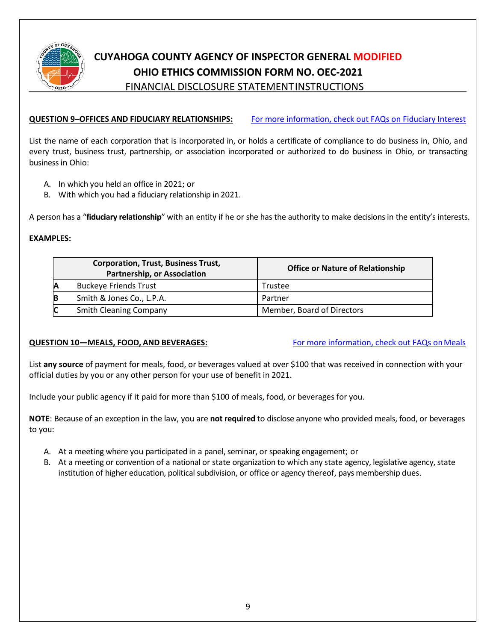

## **CUYAHOGA COUNTY AGENCY OF INSPECTOR GENERAL MODIFIED OHIO ETHICS COMMISSION FORM NO. OEC-2021**

FINANCIAL DISCLOSURE STATEMENTINSTRUCTIONS

## **QUESTION 9–OFFICES AND FIDUCIARY RELATIONSHIPS:** [For more information, check out FAQs on Fiduciary Interest](http://ethics.ohio.gov/fds/faq/investments.html)

List the name of each corporation that is incorporated in, or holds a certificate of compliance to do business in, Ohio, and every trust, business trust, partnership, or association incorporated or authorized to do business in Ohio, or transacting business in Ohio:

- A. In which you held an office in 2021; or
- B. With which you had a fiduciary relationship in 2021.

A person has a "**fiduciary relationship**" with an entity if he or she has the authority to make decisions in the entity's interests.

## **EXAMPLES:**

|   | <b>Corporation, Trust, Business Trust,</b><br><b>Partnership, or Association</b> | <b>Office or Nature of Relationship</b> |
|---|----------------------------------------------------------------------------------|-----------------------------------------|
| Α | <b>Buckeye Friends Trust</b>                                                     | Trustee                                 |
| B | Smith & Jones Co., L.P.A.                                                        | Partner                                 |
| C | <b>Smith Cleaning Company</b>                                                    | Member, Board of Directors              |

## **QUESTION 10-MEALS, FOOD, AND BEVERAGES:** For more information, check out FAQs on Meals

List **any source** of payment for meals, food, or beverages valued at over \$100 that was received in connection with your official duties by you or any other person for your use of benefit in 2021.

Include your public agency if it paid for more than \$100 of meals, food, or beverages for you.

**NOTE**: Because of an exception in the law, you are **not required** to disclose anyone who provided meals, food, or beverages to you:

- A. At a meeting where you participated in a panel, seminar, or speaking engagement; or
- B. At a meeting or convention of a national or state organization to which any state agency, legislative agency, state institution of higher education, political subdivision, or office or agency thereof, pays membership dues.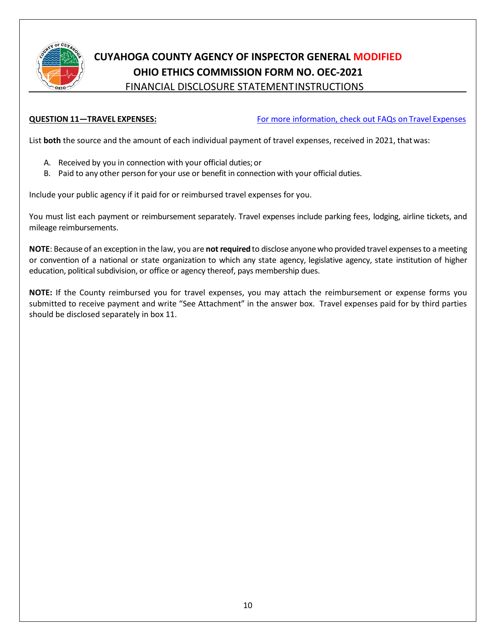

**QUESTION 11—TRAVEL EXPENSES:** [For more information, check out FAQs on](http://ethics.ohio.gov/fds/faq/meals%26travel.html) Travel Expenses

List **both** the source and the amount of each individual payment of travel expenses, received in 2021, thatwas:

- A. Received by you in connection with your official duties;or
- B. Paid to any other person for your use or benefit in connection with your official duties.

Include your public agency if it paid for or reimbursed travel expenses for you.

You must list each payment or reimbursement separately. Travel expenses include parking fees, lodging, airline tickets, and mileage reimbursements.

**NOTE**: Because of an exception in the law, you are **not required** to disclose anyone who provided travel expenses to a meeting or convention of a national or state organization to which any state agency, legislative agency, state institution of higher education, political subdivision, or office or agency thereof, pays membership dues.

**NOTE:** If the County reimbursed you for travel expenses, you may attach the reimbursement or expense forms you submitted to receive payment and write "See Attachment" in the answer box. Travel expenses paid for by third parties should be disclosed separately in box 11.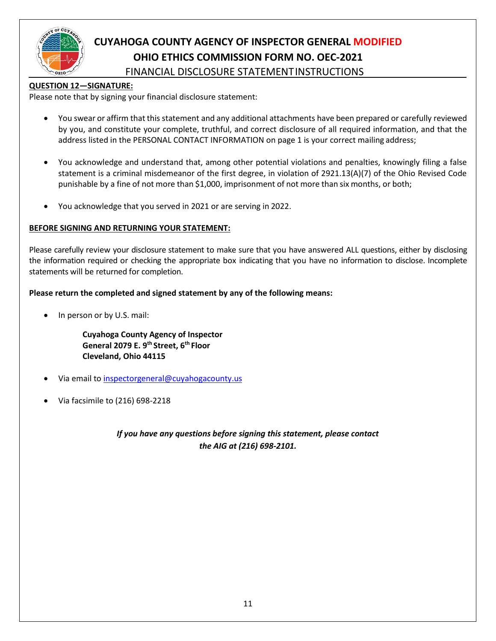

### **QUESTION 12—SIGNATURE:**

Please note that by signing your financial disclosure statement:

- You swear or affirm that this statement and any additional attachments have been prepared or carefully reviewed by you, and constitute your complete, truthful, and correct disclosure of all required information, and that the address listed in the PERSONAL CONTACT INFORMATION on page 1 is your correct mailing address;
- You acknowledge and understand that, among other potential violations and penalties, knowingly filing a false statement is a criminal misdemeanor of the first degree, in violation of 2921.13(A)(7) of the Ohio Revised Code punishable by a fine of not more than \$1,000, imprisonment of not more than six months, or both;
- You acknowledge that you served in 2021 or are serving in 2022.

### **BEFORE SIGNING AND RETURNING YOUR STATEMENT:**

Please carefully review your disclosure statement to make sure that you have answered ALL questions, either by disclosing the information required or checking the appropriate box indicating that you have no information to disclose. Incomplete statements will be returned for completion.

### **Please return the completed and signed statement by any of the following means:**

In person or by U.S. mail:

**Cuyahoga County Agency of Inspector General 2079 E. 9th Street, 6th Floor Cleveland, Ohio 44115**

- Via email t[o inspectorgeneral@cuyahogacounty.us](mailto:inspectorgeneral@cuyahogacounty.us)
- Via facsimile to (216) 698-2218

*If you have any questions before signing this statement, please contact the AIG at (216) 698-2101.*